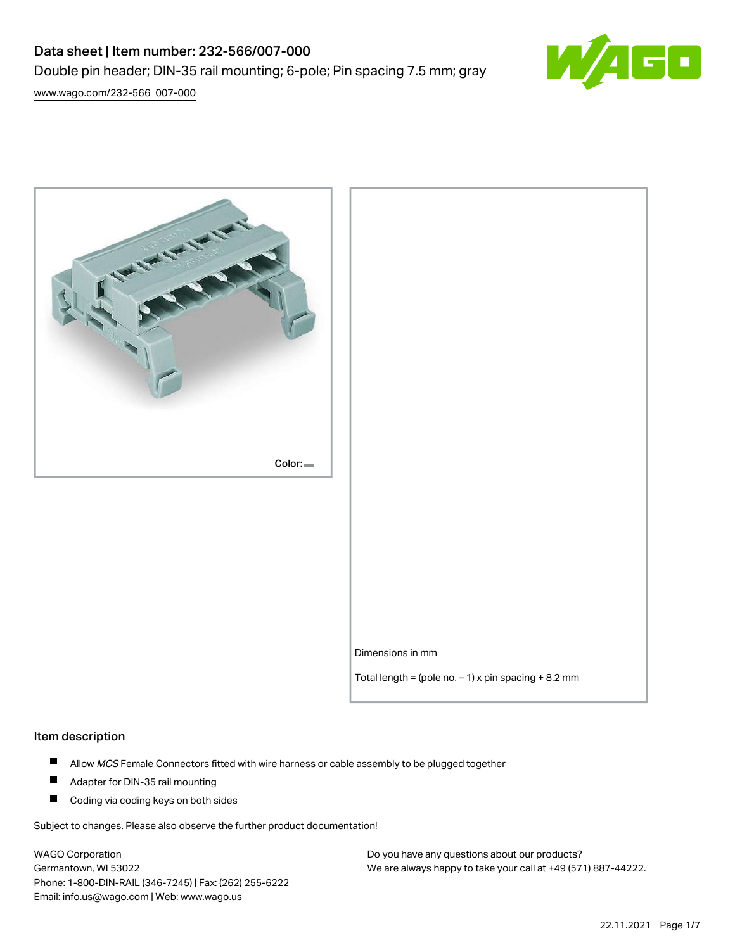# Data sheet | Item number: 232-566/007-000 Double pin header; DIN-35 rail mounting; 6-pole; Pin spacing 7.5 mm; gray



[www.wago.com/232-566\\_007-000](http://www.wago.com/232-566_007-000)



Dimensions in mm

Total length = (pole no.  $-1$ ) x pin spacing + 8.2 mm

#### Item description

- $\blacksquare$ Allow MCS Female Connectors fitted with wire harness or cable assembly to be plugged together
- $\blacksquare$ Adapter for DIN-35 rail mounting
- $\blacksquare$ Coding via coding keys on both sides

Subject to changes. Please also observe the further product documentation!

WAGO Corporation Germantown, WI 53022 Phone: 1-800-DIN-RAIL (346-7245) | Fax: (262) 255-6222 Email: info.us@wago.com | Web: www.wago.us

Do you have any questions about our products? We are always happy to take your call at +49 (571) 887-44222.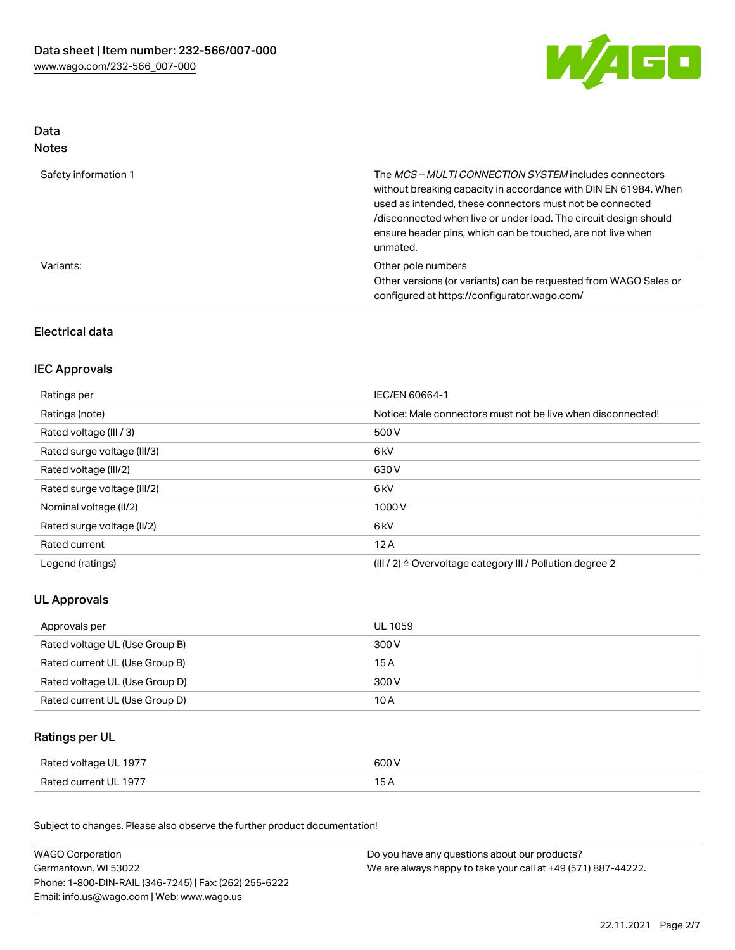

## Data Notes

| Safety information 1 | The <i>MCS – MULTI CONNECTION SYSTEM</i> includes connectors<br>without breaking capacity in accordance with DIN EN 61984. When<br>used as intended, these connectors must not be connected<br>/disconnected when live or under load. The circuit design should<br>ensure header pins, which can be touched, are not live when<br>unmated. |
|----------------------|--------------------------------------------------------------------------------------------------------------------------------------------------------------------------------------------------------------------------------------------------------------------------------------------------------------------------------------------|
| Variants:            | Other pole numbers<br>Other versions (or variants) can be requested from WAGO Sales or<br>configured at https://configurator.wago.com/                                                                                                                                                                                                     |

## Electrical data

## IEC Approvals

| Ratings per                 | IEC/EN 60664-1                                                        |
|-----------------------------|-----------------------------------------------------------------------|
| Ratings (note)              | Notice: Male connectors must not be live when disconnected!           |
| Rated voltage (III / 3)     | 500 V                                                                 |
| Rated surge voltage (III/3) | 6 <sub>kV</sub>                                                       |
| Rated voltage (III/2)       | 630 V                                                                 |
| Rated surge voltage (III/2) | 6 <sub>kV</sub>                                                       |
| Nominal voltage (II/2)      | 1000V                                                                 |
| Rated surge voltage (II/2)  | 6 <sub>kV</sub>                                                       |
| Rated current               | 12A                                                                   |
| Legend (ratings)            | $(III / 2)$ $\triangle$ Overvoltage category III / Pollution degree 2 |

## UL Approvals

| Approvals per                  | UL 1059 |
|--------------------------------|---------|
| Rated voltage UL (Use Group B) | 300 V   |
| Rated current UL (Use Group B) | 15 A    |
| Rated voltage UL (Use Group D) | 300 V   |
| Rated current UL (Use Group D) | 10 A    |

## Ratings per UL

| Rated voltage UL 1977 | 600 V |
|-----------------------|-------|
| Rated current UL 1977 |       |

Subject to changes. Please also observe the further product documentation!

| <b>WAGO Corporation</b>                                | Do you have any questions about our products?                 |  |
|--------------------------------------------------------|---------------------------------------------------------------|--|
| Germantown, WI 53022                                   | We are always happy to take your call at +49 (571) 887-44222. |  |
| Phone: 1-800-DIN-RAIL (346-7245)   Fax: (262) 255-6222 |                                                               |  |
| Email: info.us@wago.com   Web: www.wago.us             |                                                               |  |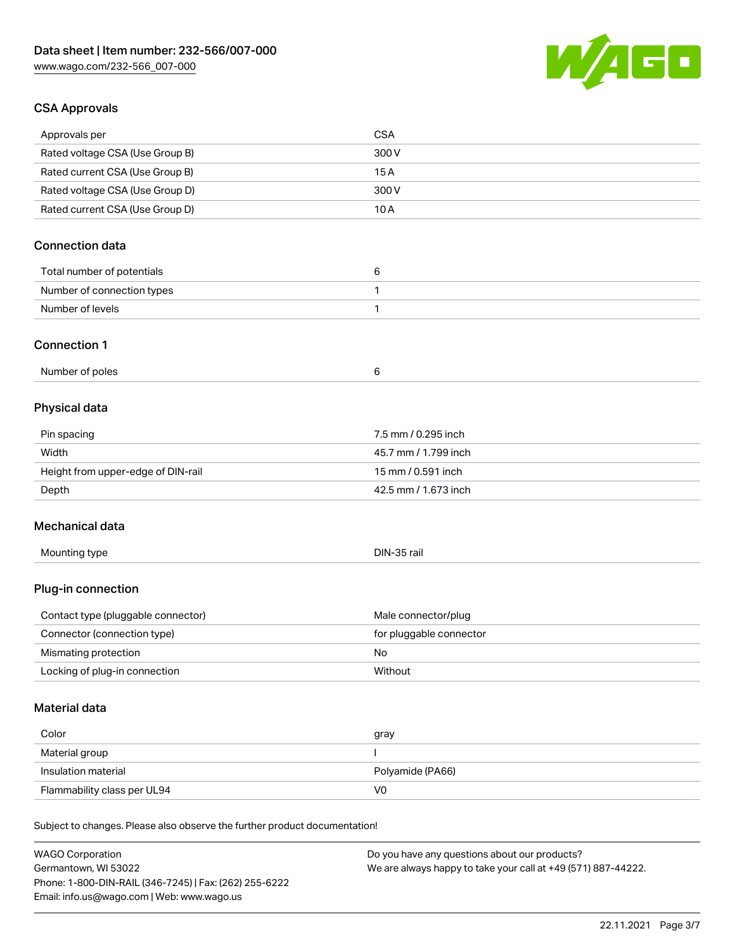

## CSA Approvals

| Approvals per                                                              | <b>CSA</b>                                    |
|----------------------------------------------------------------------------|-----------------------------------------------|
| Rated voltage CSA (Use Group B)                                            | 300 V                                         |
| Rated current CSA (Use Group B)                                            | 15A                                           |
| Rated voltage CSA (Use Group D)                                            | 300V                                          |
| Rated current CSA (Use Group D)                                            | 10A                                           |
|                                                                            |                                               |
| <b>Connection data</b>                                                     |                                               |
| Total number of potentials                                                 | 6                                             |
| Number of connection types                                                 | 1                                             |
| Number of levels                                                           | $\mathbf{1}$                                  |
| <b>Connection 1</b>                                                        |                                               |
| Number of poles                                                            | 6                                             |
| <b>Physical data</b>                                                       |                                               |
|                                                                            |                                               |
| Pin spacing                                                                | 7.5 mm / 0.295 inch                           |
| Width                                                                      | 45.7 mm / 1.799 inch<br>15 mm / 0.591 inch    |
| Height from upper-edge of DIN-rail                                         | 42.5 mm / 1.673 inch                          |
| Depth                                                                      |                                               |
| Mechanical data                                                            |                                               |
| Mounting type                                                              | DIN-35 rail                                   |
| Plug-in connection                                                         |                                               |
| Contact type (pluggable connector)                                         | Male connector/plug                           |
| Connector (connection type)                                                | for pluggable connector                       |
| Mismating protection                                                       | No                                            |
| Locking of plug-in connection                                              | Without                                       |
| Material data                                                              |                                               |
| Color                                                                      |                                               |
| Material group                                                             | gray<br>ı                                     |
| Insulation material                                                        | Polyamide (PA66)                              |
| Flammability class per UL94                                                | V <sub>0</sub>                                |
|                                                                            |                                               |
| Subject to changes. Please also observe the further product documentation! |                                               |
| <b>WAGO Corporation</b>                                                    | Do you have any questions about our products? |

Germantown, WI 53022 Phone: 1-800-DIN-RAIL (346-7245) | Fax: (262) 255-6222 Email: info.us@wago.com | Web: www.wago.us

We are always happy to take your call at +49 (571) 887-44222.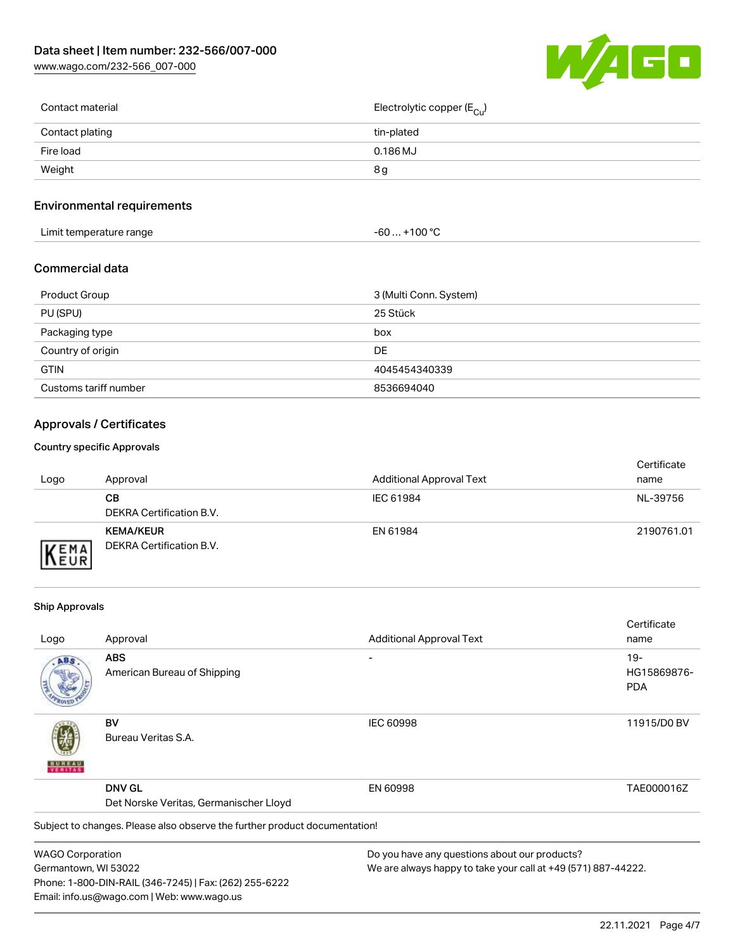[www.wago.com/232-566\\_007-000](http://www.wago.com/232-566_007-000)



| Contact material | Electrolytic copper ( $E_{\text{Cu}}$ ) |
|------------------|-----------------------------------------|
| Contact plating  | tin-plated                              |
| Fire load        | $0.186$ MJ                              |
| Weight           | 8g                                      |
|                  |                                         |

## Environmental requirements

| Limit temperature range<br>. | $. +100 °C$<br>-60 |  |
|------------------------------|--------------------|--|
|------------------------------|--------------------|--|

#### Commercial data

| Product Group         | 3 (Multi Conn. System) |
|-----------------------|------------------------|
| PU (SPU)              | 25 Stück               |
| Packaging type        | box                    |
| Country of origin     | DE                     |
| <b>GTIN</b>           | 4045454340339          |
| Customs tariff number | 8536694040             |

## Approvals / Certificates

#### Country specific Approvals

| Logo               | Approval                                            | <b>Additional Approval Text</b> | Certificate<br>name |
|--------------------|-----------------------------------------------------|---------------------------------|---------------------|
|                    | CВ<br>DEKRA Certification B.V.                      | IEC 61984                       | NL-39756            |
| EMA<br><b>NEUR</b> | <b>KEMA/KEUR</b><br><b>DEKRA Certification B.V.</b> | EN 61984                        | 2190761.01          |

#### Ship Approvals

Email: info.us@wago.com | Web: www.wago.us

|                         |                                                                            |                                                               | Certificate |
|-------------------------|----------------------------------------------------------------------------|---------------------------------------------------------------|-------------|
| Logo                    | Approval                                                                   | <b>Additional Approval Text</b>                               | name        |
| ABS                     | <b>ABS</b>                                                                 |                                                               | $19-$       |
|                         | American Bureau of Shipping                                                |                                                               | HG15869876- |
|                         |                                                                            |                                                               | <b>PDA</b>  |
|                         | BV                                                                         | <b>IEC 60998</b>                                              | 11915/D0 BV |
| VERITAS                 | Bureau Veritas S.A.                                                        |                                                               |             |
|                         | <b>DNV GL</b>                                                              | EN 60998                                                      | TAE000016Z  |
|                         | Det Norske Veritas, Germanischer Lloyd                                     |                                                               |             |
|                         | Subject to changes. Please also observe the further product documentation! |                                                               |             |
| <b>WAGO Corporation</b> |                                                                            | Do you have any questions about our products?                 |             |
| Germantown, WI 53022    |                                                                            | We are always happy to take your call at +49 (571) 887-44222. |             |
|                         | Phone: 1-800-DIN-RAIL (346-7245)   Fax: (262) 255-6222                     |                                                               |             |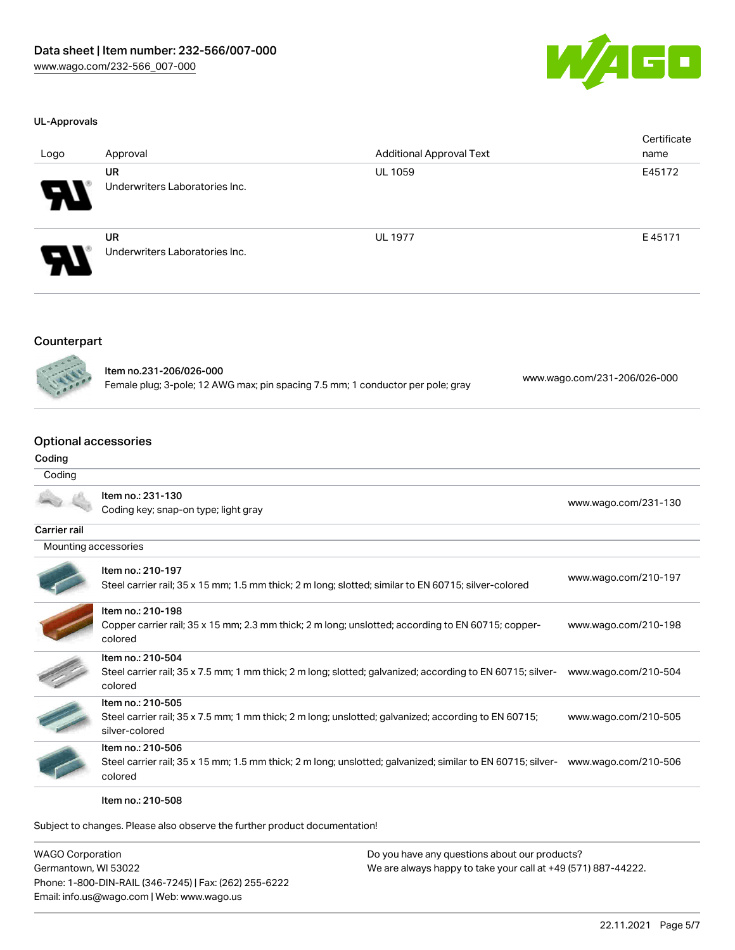

#### UL-Approvals

| Logo | Approval                                    | <b>Additional Approval Text</b> | Certificate<br>name |
|------|---------------------------------------------|---------------------------------|---------------------|
| Э.   | <b>UR</b><br>Underwriters Laboratories Inc. | <b>UL 1059</b>                  | E45172              |
| Я.   | <b>UR</b><br>Underwriters Laboratories Inc. | <b>UL 1977</b>                  | E45171              |

#### Counterpart



Item no.231-206/026-000 Female plug; 3-pole; 12 AWG max; pin spacing 7.5 mm; 1 conductor per pole; gray [www.wago.com/231-206/026-000](https://www.wago.com/231-206/026-000)

## Optional accessories

## Coding Coding

|                      | Item no.: 231-130<br>Coding key; snap-on type; light gray                                                                                   | www.wago.com/231-130 |
|----------------------|---------------------------------------------------------------------------------------------------------------------------------------------|----------------------|
| <b>Carrier rail</b>  |                                                                                                                                             |                      |
| Mounting accessories |                                                                                                                                             |                      |
|                      | Item no.: 210-197<br>Steel carrier rail; 35 x 15 mm; 1.5 mm thick; 2 m long; slotted; similar to EN 60715; silver-colored                   | www.wago.com/210-197 |
|                      | Item no.: 210-198<br>Copper carrier rail; 35 x 15 mm; 2.3 mm thick; 2 m long; unslotted; according to EN 60715; copper-<br>colored          | www.wago.com/210-198 |
|                      | Item no.: 210-504<br>Steel carrier rail; 35 x 7.5 mm; 1 mm thick; 2 m long; slotted; galvanized; according to EN 60715; silver-<br>colored  | www.wago.com/210-504 |
|                      | Item no.: 210-505<br>Steel carrier rail; 35 x 7.5 mm; 1 mm thick; 2 m long; unslotted; galvanized; according to EN 60715;<br>silver-colored | www.wago.com/210-505 |
|                      | Item no.: 210-506<br>Steel carrier rail; 35 x 15 mm; 1.5 mm thick; 2 m long; unslotted; galvanized; similar to EN 60715; silver-<br>colored | www.wago.com/210-506 |

Item no.: 210-508

Subject to changes. Please also observe the further product documentation!

WAGO Corporation Germantown, WI 53022 Phone: 1-800-DIN-RAIL (346-7245) | Fax: (262) 255-6222 Email: info.us@wago.com | Web: www.wago.us Do you have any questions about our products? We are always happy to take your call at +49 (571) 887-44222.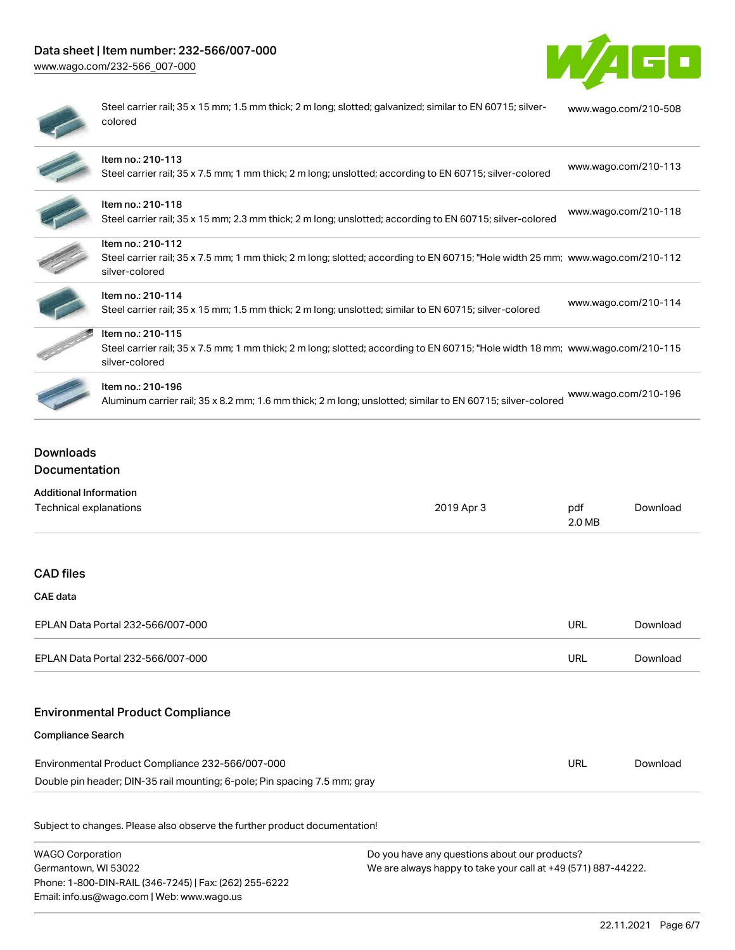## Data sheet | Item number: 232-566/007-000

[www.wago.com/232-566\\_007-000](http://www.wago.com/232-566_007-000)



|   | ÷ |
|---|---|
| ٠ |   |
| ۱ |   |
|   |   |
|   |   |

Steel carrier rail; 35 x 15 mm; 1.5 mm thick; 2 m long; slotted; galvanized; similar to EN 60715; silvercolored [www.wago.com/210-508](http://www.wago.com/210-508)

| Item no.: 210-113<br>Steel carrier rail; 35 x 7.5 mm; 1 mm thick; 2 m long; unslotted; according to EN 60715; silver-colored                                          | www.wago.com/210-113 |
|-----------------------------------------------------------------------------------------------------------------------------------------------------------------------|----------------------|
| Item no.: 210-118<br>Steel carrier rail; 35 x 15 mm; 2.3 mm thick; 2 m long; unslotted; according to EN 60715; silver-colored                                         | www.wago.com/210-118 |
| Item no.: 210-112<br>Steel carrier rail; 35 x 7.5 mm; 1 mm thick; 2 m long; slotted; according to EN 60715; "Hole width 25 mm; www.wago.com/210-112<br>silver-colored |                      |
| Item no.: 210-114<br>Steel carrier rail; 35 x 15 mm; 1.5 mm thick; 2 m long; unslotted; similar to EN 60715; silver-colored                                           | www.wago.com/210-114 |
| Item no.: 210-115<br>Steel carrier rail; 35 x 7.5 mm; 1 mm thick; 2 m long; slotted; according to EN 60715; "Hole width 18 mm; www.wago.com/210-115<br>silver-colored |                      |
| Item no.: 210-196<br>Aluminum carrier rail; 35 x 8.2 mm; 1.6 mm thick; 2 m long; unslotted; similar to EN 60715; silver-colored                                       | www.wago.com/210-196 |

## Downloads Documentation

| <b>Additional Information</b>                                             |            |               |          |
|---------------------------------------------------------------------------|------------|---------------|----------|
| Technical explanations                                                    | 2019 Apr 3 | pdf<br>2.0 MB | Download |
|                                                                           |            |               |          |
| <b>CAD files</b>                                                          |            |               |          |
| CAE data                                                                  |            |               |          |
| EPLAN Data Portal 232-566/007-000                                         |            | <b>URL</b>    | Download |
| EPLAN Data Portal 232-566/007-000                                         |            | <b>URL</b>    | Download |
| <b>Environmental Product Compliance</b>                                   |            |               |          |
| <b>Compliance Search</b>                                                  |            |               |          |
| Environmental Product Compliance 232-566/007-000                          |            | <b>URL</b>    | Download |
| Double pin header; DIN-35 rail mounting; 6-pole; Pin spacing 7.5 mm; gray |            |               |          |

WAGO Corporation Germantown, WI 53022 Phone: 1-800-DIN-RAIL (346-7245) | Fax: (262) 255-6222 Email: info.us@wago.com | Web: www.wago.us

Do you have any questions about our products? We are always happy to take your call at +49 (571) 887-44222.